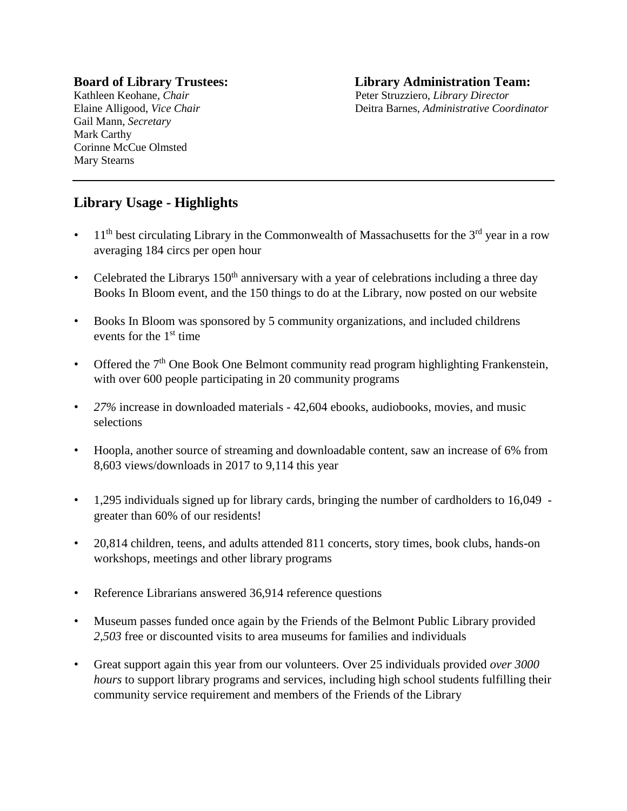Gail Mann, *Secretary*  Mark Carthy Corinne McCue Olmsted Mary Stearns

#### **Board of Library Trustees: Library Administration Team:**  Kathleen Keohane, *Chair* Peter Struzziero, *Library Director*

Elaine Alligood, *Vice Chair* Deitra Barnes, *Administrative Coordinator*

# **Library Usage - Highlights**

- $11<sup>th</sup>$  best circulating Library in the Commonwealth of Massachusetts for the  $3<sup>rd</sup>$  year in a row averaging 184 circs per open hour
- Celebrated the Librarys  $150<sup>th</sup>$  anniversary with a year of celebrations including a three day Books In Bloom event, and the 150 things to do at the Library, now posted on our website
- Books In Bloom was sponsored by 5 community organizations, and included childrens events for the 1<sup>st</sup> time
- Offered the  $7<sup>th</sup>$  One Book One Belmont community read program highlighting Frankenstein, with over 600 people participating in 20 community programs
- *27%* increase in downloaded materials 42,604 ebooks, audiobooks, movies, and music selections
- Hoopla, another source of streaming and downloadable content, saw an increase of 6% from 8,603 views/downloads in 2017 to 9,114 this year
- 1,295 individuals signed up for library cards, bringing the number of cardholders to 16,049 greater than 60% of our residents!
- 20,814 children, teens, and adults attended 811 concerts, story times, book clubs, hands-on workshops, meetings and other library programs
- Reference Librarians answered 36,914 reference questions
- Museum passes funded once again by the Friends of the Belmont Public Library provided *2,503* free or discounted visits to area museums for families and individuals
- Great support again this year from our volunteers. Over 25 individuals provided *over 3000 hours* to support library programs and services, including high school students fulfilling their community service requirement and members of the Friends of the Library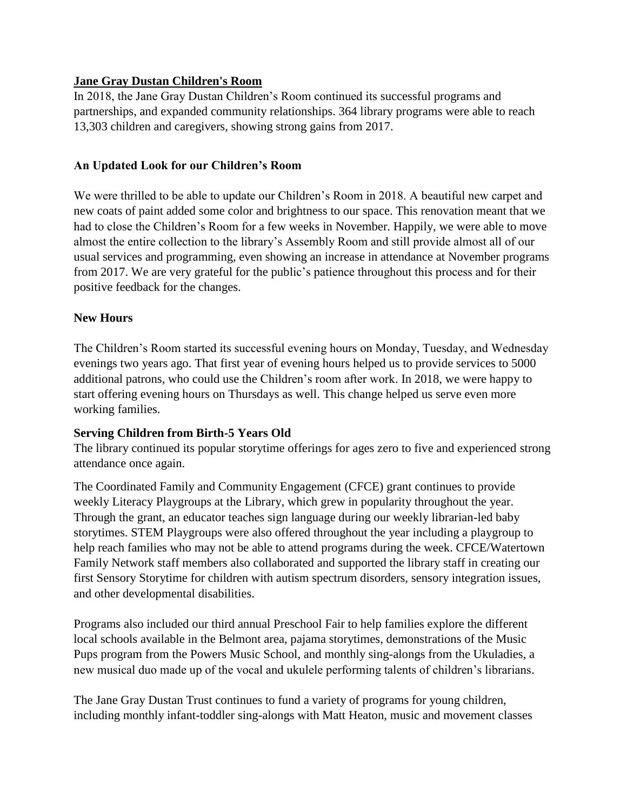## **Jane Gray Dustan Children's Room**

In 2018, the Jane Gray Dustan Children's Room continued its successful programs and partnerships, and expanded community relationships. 364 library programs were able to reach 13,303 children and caregivers, showing strong gains from 2017.

## **An Updated Look for our Children's Room**

We were thrilled to be able to update our Children's Room in 2018. A beautiful new carpet and new coats of paint added some color and brightness to our space. This renovation meant that we had to close the Children's Room for a few weeks in November. Happily, we were able to move almost the entire collection to the library's Assembly Room and still provide almost all of our usual services and programming, even showing an increase in attendance at November programs from 2017. We are very grateful for the public's patience throughout this process and for their positive feedback for the changes.

## **New Hours**

The Children's Room started its successful evening hours on Monday, Tuesday, and Wednesday evenings two years ago. That first year of evening hours helped us to provide services to 5000 additional patrons, who could use the Children's room after work. In 2018, we were happy to start offering evening hours on Thursdays as well. This change helped us serve even more working families.

## **Serving Children from Birth-5 Years Old**

The library continued its popular storytime offerings for ages zero to five and experienced strong attendance once again.

The Coordinated Family and Community Engagement (CFCE) grant continues to provide weekly Literacy Playgroups at the Library, which grew in popularity throughout the year. Through the grant, an educator teaches sign language during our weekly librarian-led baby storytimes. STEM Playgroups were also offered throughout the year including a playgroup to help reach families who may not be able to attend programs during the week. CFCE/Watertown Family Network staff members also collaborated and supported the library staff in creating our first Sensory Storytime for children with autism spectrum disorders, sensory integration issues, and other developmental disabilities.

Programs also included our third annual Preschool Fair to help families explore the different local schools available in the Belmont area, pajama storytimes, demonstrations of the Music Pups program from the Powers Music School, and monthly sing-alongs from the Ukuladies, a new musical duo made up of the vocal and ukulele performing talents of children's librarians.

The Jane Gray Dustan Trust continues to fund a variety of programs for young children, including monthly infant-toddler sing-alongs with Matt Heaton, music and movement classes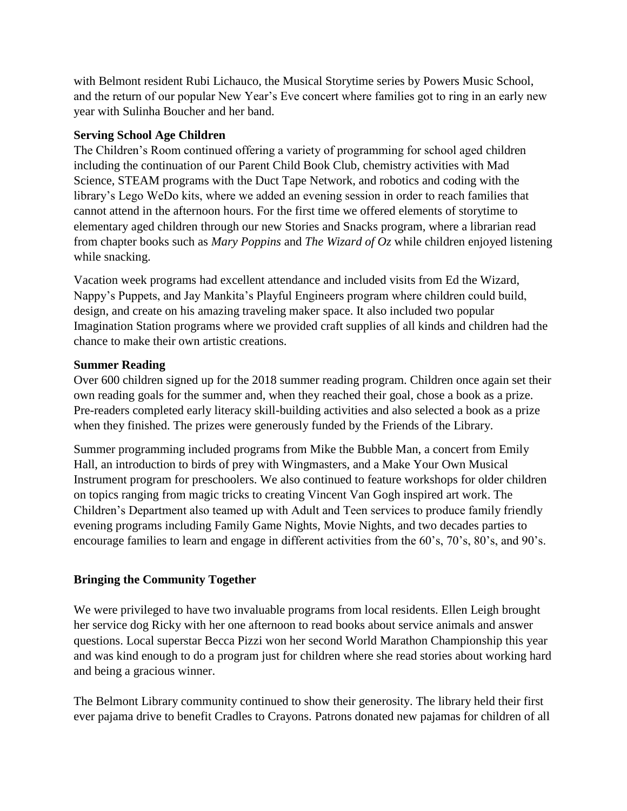with Belmont resident Rubi Lichauco, the Musical Storytime series by Powers Music School, and the return of our popular New Year's Eve concert where families got to ring in an early new year with Sulinha Boucher and her band.

#### **Serving School Age Children**

The Children's Room continued offering a variety of programming for school aged children including the continuation of our Parent Child Book Club, chemistry activities with Mad Science, STEAM programs with the Duct Tape Network, and robotics and coding with the library's Lego WeDo kits, where we added an evening session in order to reach families that cannot attend in the afternoon hours. For the first time we offered elements of storytime to elementary aged children through our new Stories and Snacks program, where a librarian read from chapter books such as *Mary Poppins* and *The Wizard of Oz* while children enjoyed listening while snacking.

Vacation week programs had excellent attendance and included visits from Ed the Wizard, Nappy's Puppets, and Jay Mankita's Playful Engineers program where children could build, design, and create on his amazing traveling maker space. It also included two popular Imagination Station programs where we provided craft supplies of all kinds and children had the chance to make their own artistic creations.

#### **Summer Reading**

Over 600 children signed up for the 2018 summer reading program. Children once again set their own reading goals for the summer and, when they reached their goal, chose a book as a prize. Pre-readers completed early literacy skill-building activities and also selected a book as a prize when they finished. The prizes were generously funded by the Friends of the Library.

Summer programming included programs from Mike the Bubble Man, a concert from Emily Hall, an introduction to birds of prey with Wingmasters, and a Make Your Own Musical Instrument program for preschoolers. We also continued to feature workshops for older children on topics ranging from magic tricks to creating Vincent Van Gogh inspired art work. The Children's Department also teamed up with Adult and Teen services to produce family friendly evening programs including Family Game Nights, Movie Nights, and two decades parties to encourage families to learn and engage in different activities from the 60's, 70's, 80's, and 90's.

## **Bringing the Community Together**

We were privileged to have two invaluable programs from local residents. Ellen Leigh brought her service dog Ricky with her one afternoon to read books about service animals and answer questions. Local superstar Becca Pizzi won her second World Marathon Championship this year and was kind enough to do a program just for children where she read stories about working hard and being a gracious winner.

The Belmont Library community continued to show their generosity. The library held their first ever pajama drive to benefit Cradles to Crayons. Patrons donated new pajamas for children of all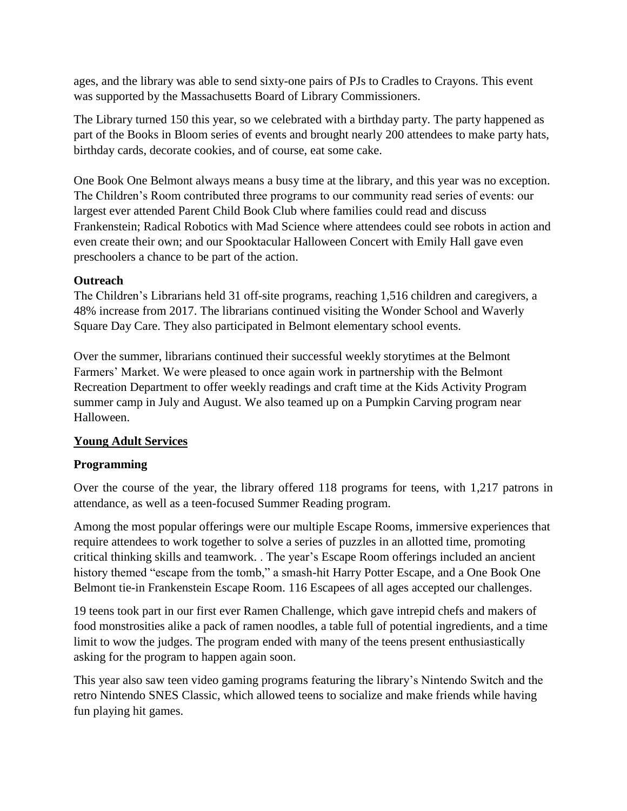ages, and the library was able to send sixty-one pairs of PJs to Cradles to Crayons. This event was supported by the Massachusetts Board of Library Commissioners.

The Library turned 150 this year, so we celebrated with a birthday party. The party happened as part of the Books in Bloom series of events and brought nearly 200 attendees to make party hats, birthday cards, decorate cookies, and of course, eat some cake.

One Book One Belmont always means a busy time at the library, and this year was no exception. The Children's Room contributed three programs to our community read series of events: our largest ever attended Parent Child Book Club where families could read and discuss Frankenstein; Radical Robotics with Mad Science where attendees could see robots in action and even create their own; and our Spooktacular Halloween Concert with Emily Hall gave even preschoolers a chance to be part of the action.

## **Outreach**

The Children's Librarians held 31 off-site programs, reaching 1,516 children and caregivers, a 48% increase from 2017. The librarians continued visiting the Wonder School and Waverly Square Day Care. They also participated in Belmont elementary school events.

Over the summer, librarians continued their successful weekly storytimes at the Belmont Farmers' Market. We were pleased to once again work in partnership with the Belmont Recreation Department to offer weekly readings and craft time at the Kids Activity Program summer camp in July and August. We also teamed up on a Pumpkin Carving program near Halloween.

## **Young Adult Services**

## **Programming**

Over the course of the year, the library offered 118 programs for teens, with 1,217 patrons in attendance, as well as a teen-focused Summer Reading program.

Among the most popular offerings were our multiple Escape Rooms, immersive experiences that require attendees to work together to solve a series of puzzles in an allotted time, promoting critical thinking skills and teamwork. . The year's Escape Room offerings included an ancient history themed "escape from the tomb," a smash-hit Harry Potter Escape, and a One Book One Belmont tie-in Frankenstein Escape Room. 116 Escapees of all ages accepted our challenges.

19 teens took part in our first ever Ramen Challenge, which gave intrepid chefs and makers of food monstrosities alike a pack of ramen noodles, a table full of potential ingredients, and a time limit to wow the judges. The program ended with many of the teens present enthusiastically asking for the program to happen again soon.

This year also saw teen video gaming programs featuring the library's Nintendo Switch and the retro Nintendo SNES Classic, which allowed teens to socialize and make friends while having fun playing hit games.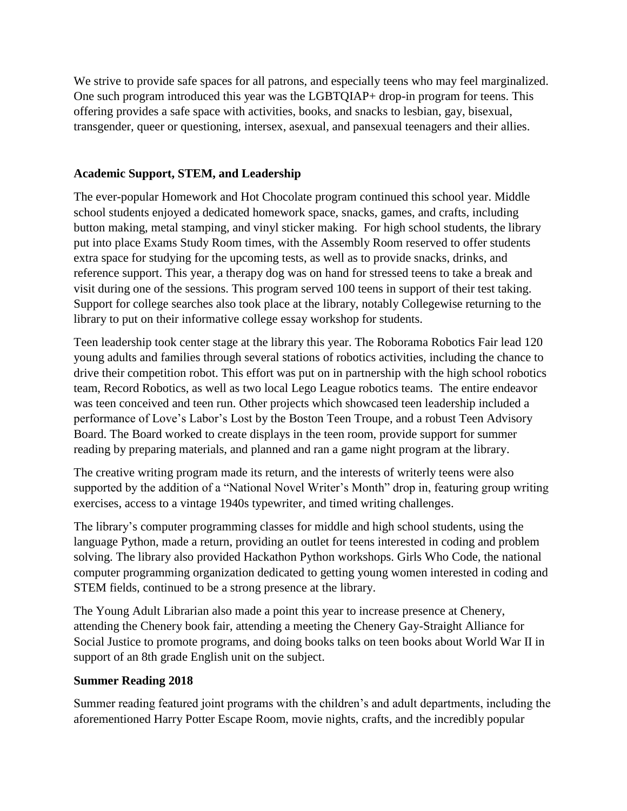We strive to provide safe spaces for all patrons, and especially teens who may feel marginalized. One such program introduced this year was the LGBTQIAP+ drop-in program for teens. This offering provides a safe space with activities, books, and snacks to lesbian, gay, bisexual, transgender, queer or questioning, intersex, asexual, and pansexual teenagers and their allies.

## **Academic Support, STEM, and Leadership**

The ever-popular Homework and Hot Chocolate program continued this school year. Middle school students enjoyed a dedicated homework space, snacks, games, and crafts, including button making, metal stamping, and vinyl sticker making. For high school students, the library put into place Exams Study Room times, with the Assembly Room reserved to offer students extra space for studying for the upcoming tests, as well as to provide snacks, drinks, and reference support. This year, a therapy dog was on hand for stressed teens to take a break and visit during one of the sessions. This program served 100 teens in support of their test taking. Support for college searches also took place at the library, notably Collegewise returning to the library to put on their informative college essay workshop for students.

Teen leadership took center stage at the library this year. The Roborama Robotics Fair lead 120 young adults and families through several stations of robotics activities, including the chance to drive their competition robot. This effort was put on in partnership with the high school robotics team, Record Robotics, as well as two local Lego League robotics teams. The entire endeavor was teen conceived and teen run. Other projects which showcased teen leadership included a performance of Love's Labor's Lost by the Boston Teen Troupe, and a robust Teen Advisory Board. The Board worked to create displays in the teen room, provide support for summer reading by preparing materials, and planned and ran a game night program at the library.

The creative writing program made its return, and the interests of writerly teens were also supported by the addition of a "National Novel Writer's Month" drop in, featuring group writing exercises, access to a vintage 1940s typewriter, and timed writing challenges.

The library's computer programming classes for middle and high school students, using the language Python, made a return, providing an outlet for teens interested in coding and problem solving. The library also provided Hackathon Python workshops. Girls Who Code, the national computer programming organization dedicated to getting young women interested in coding and STEM fields, continued to be a strong presence at the library.

The Young Adult Librarian also made a point this year to increase presence at Chenery, attending the Chenery book fair, attending a meeting the Chenery Gay-Straight Alliance for Social Justice to promote programs, and doing books talks on teen books about World War II in support of an 8th grade English unit on the subject.

## **Summer Reading 2018**

Summer reading featured joint programs with the children's and adult departments, including the aforementioned Harry Potter Escape Room, movie nights, crafts, and the incredibly popular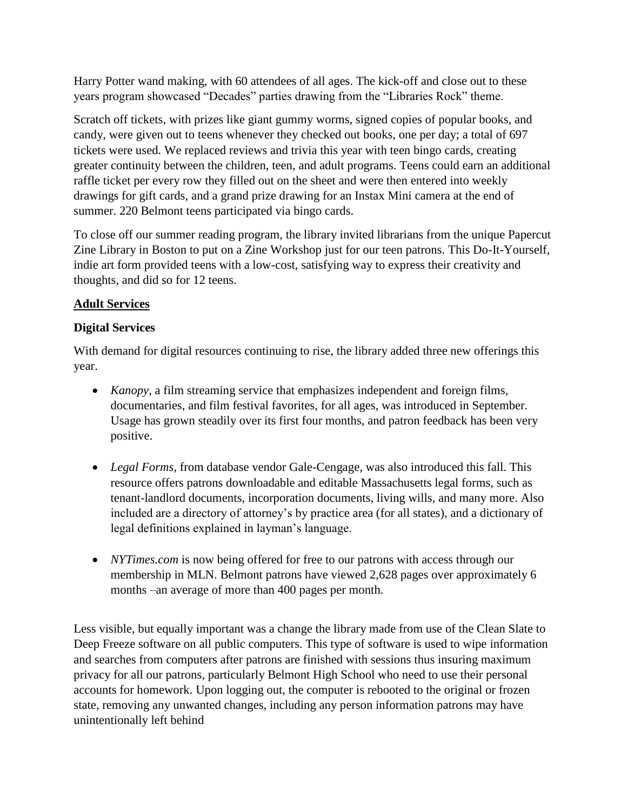Harry Potter wand making, with 60 attendees of all ages. The kick-off and close out to these years program showcased "Decades" parties drawing from the "Libraries Rock" theme.

Scratch off tickets, with prizes like giant gummy worms, signed copies of popular books, and candy, were given out to teens whenever they checked out books, one per day; a total of 697 tickets were used. We replaced reviews and trivia this year with teen bingo cards, creating greater continuity between the children, teen, and adult programs. Teens could earn an additional raffle ticket per every row they filled out on the sheet and were then entered into weekly drawings for gift cards, and a grand prize drawing for an Instax Mini camera at the end of summer. 220 Belmont teens participated via bingo cards.

To close off our summer reading program, the library invited librarians from the unique Papercut Zine Library in Boston to put on a Zine Workshop just for our teen patrons. This Do-It-Yourself, indie art form provided teens with a low-cost, satisfying way to express their creativity and thoughts, and did so for 12 teens.

## **Adult Services**

## **Digital Services**

With demand for digital resources continuing to rise, the library added three new offerings this year.

- *Kanopy*, a film streaming service that emphasizes independent and foreign films, documentaries, and film festival favorites, for all ages, was introduced in September. Usage has grown steadily over its first four months, and patron feedback has been very positive.
- *Legal Forms*, from database vendor Gale-Cengage, was also introduced this fall. This resource offers patrons downloadable and editable Massachusetts legal forms, such as tenant-landlord documents, incorporation documents, living wills, and many more. Also included are a directory of attorney's by practice area (for all states), and a dictionary of legal definitions explained in layman's language.
- *NYTimes.com* is now being offered for free to our patrons with access through our membership in MLN. Belmont patrons have viewed 2,628 pages over approximately 6 months –an average of more than 400 pages per month.

Less visible, but equally important was a change the library made from use of the Clean Slate to Deep Freeze software on all public computers. This type of software is used to wipe information and searches from computers after patrons are finished with sessions thus insuring maximum privacy for all our patrons, particularly Belmont High School who need to use their personal accounts for homework. Upon logging out, the computer is rebooted to the original or frozen state, removing any unwanted changes, including any person information patrons may have unintentionally left behind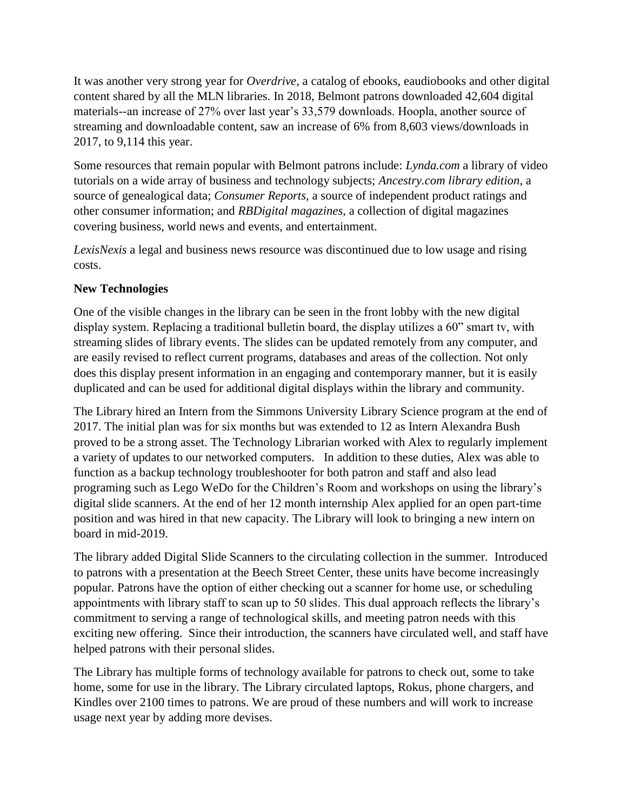It was another very strong year for *Overdrive*, a catalog of ebooks, eaudiobooks and other digital content shared by all the MLN libraries. In 2018, Belmont patrons downloaded 42,604 digital materials--an increase of 27% over last year's 33,579 downloads. Hoopla, another source of streaming and downloadable content, saw an increase of 6% from 8,603 views/downloads in 2017, to 9,114 this year.

Some resources that remain popular with Belmont patrons include: *Lynda.com* a library of video tutorials on a wide array of business and technology subjects; *Ancestry.com library edition*, a source of genealogical data; *Consumer Reports*, a source of independent product ratings and other consumer information; and *RBDigital magazines,* a collection of digital magazines covering business, world news and events, and entertainment.

*LexisNexis* a legal and business news resource was discontinued due to low usage and rising costs.

## **New Technologies**

One of the visible changes in the library can be seen in the front lobby with the new digital display system. Replacing a traditional bulletin board, the display utilizes a 60" smart tv, with streaming slides of library events. The slides can be updated remotely from any computer, and are easily revised to reflect current programs, databases and areas of the collection. Not only does this display present information in an engaging and contemporary manner, but it is easily duplicated and can be used for additional digital displays within the library and community.

The Library hired an Intern from the Simmons University Library Science program at the end of 2017. The initial plan was for six months but was extended to 12 as Intern Alexandra Bush proved to be a strong asset. The Technology Librarian worked with Alex to regularly implement a variety of updates to our networked computers. In addition to these duties, Alex was able to function as a backup technology troubleshooter for both patron and staff and also lead programing such as Lego WeDo for the Children's Room and workshops on using the library's digital slide scanners. At the end of her 12 month internship Alex applied for an open part-time position and was hired in that new capacity. The Library will look to bringing a new intern on board in mid-2019.

The library added Digital Slide Scanners to the circulating collection in the summer. Introduced to patrons with a presentation at the Beech Street Center, these units have become increasingly popular. Patrons have the option of either checking out a scanner for home use, or scheduling appointments with library staff to scan up to 50 slides. This dual approach reflects the library's commitment to serving a range of technological skills, and meeting patron needs with this exciting new offering. Since their introduction, the scanners have circulated well, and staff have helped patrons with their personal slides.

The Library has multiple forms of technology available for patrons to check out, some to take home, some for use in the library. The Library circulated laptops, Rokus, phone chargers, and Kindles over 2100 times to patrons. We are proud of these numbers and will work to increase usage next year by adding more devises.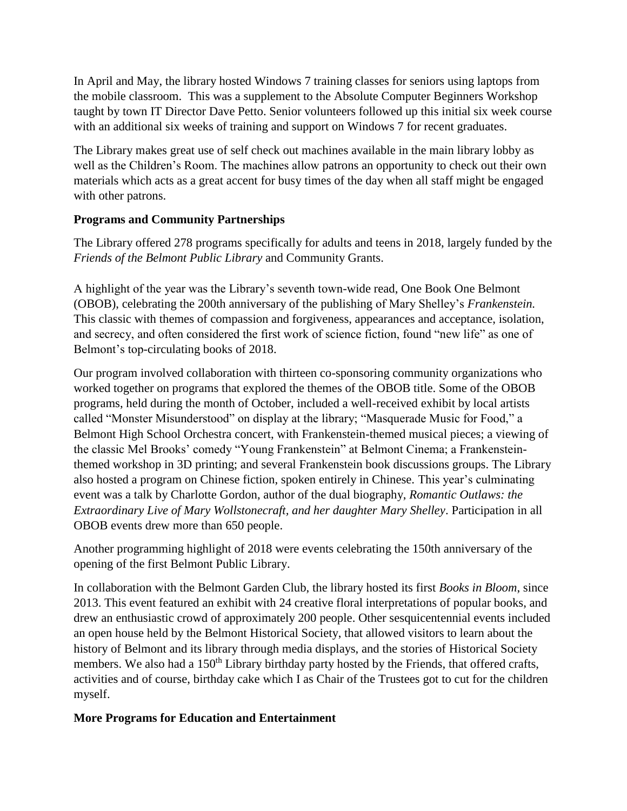In April and May, the library hosted Windows 7 training classes for seniors using laptops from the mobile classroom. This was a supplement to the Absolute Computer Beginners Workshop taught by town IT Director Dave Petto. Senior volunteers followed up this initial six week course with an additional six weeks of training and support on Windows 7 for recent graduates.

The Library makes great use of self check out machines available in the main library lobby as well as the Children's Room. The machines allow patrons an opportunity to check out their own materials which acts as a great accent for busy times of the day when all staff might be engaged with other patrons.

## **Programs and Community Partnerships**

The Library offered 278 programs specifically for adults and teens in 2018, largely funded by the *Friends of the Belmont Public Library* and Community Grants.

A highlight of the year was the Library's seventh town-wide read, One Book One Belmont (OBOB), celebrating the 200th anniversary of the publishing of Mary Shelley's *Frankenstein.*  This classic with themes of compassion and forgiveness, appearances and acceptance, isolation, and secrecy, and often considered the first work of science fiction, found "new life" as one of Belmont's top-circulating books of 2018.

Our program involved collaboration with thirteen co-sponsoring community organizations who worked together on programs that explored the themes of the OBOB title. Some of the OBOB programs, held during the month of October, included a well-received exhibit by local artists called "Monster Misunderstood" on display at the library; "Masquerade Music for Food," a Belmont High School Orchestra concert, with Frankenstein-themed musical pieces; a viewing of the classic Mel Brooks' comedy "Young Frankenstein" at Belmont Cinema; a Frankensteinthemed workshop in 3D printing; and several Frankenstein book discussions groups. The Library also hosted a program on Chinese fiction, spoken entirely in Chinese. This year's culminating event was a talk by Charlotte Gordon, author of the dual biography, *Romantic Outlaws: the Extraordinary Live of Mary Wollstonecraft, and her daughter Mary Shelley*. Participation in all OBOB events drew more than 650 people.

Another programming highlight of 2018 were events celebrating the 150th anniversary of the opening of the first Belmont Public Library.

In collaboration with the Belmont Garden Club, the library hosted its first *Books in Bloom*, since 2013. This event featured an exhibit with 24 creative floral interpretations of popular books, and drew an enthusiastic crowd of approximately 200 people. Other sesquicentennial events included an open house held by the Belmont Historical Society, that allowed visitors to learn about the history of Belmont and its library through media displays, and the stories of Historical Society members. We also had a 150<sup>th</sup> Library birthday party hosted by the Friends, that offered crafts, activities and of course, birthday cake which I as Chair of the Trustees got to cut for the children myself.

## **More Programs for Education and Entertainment**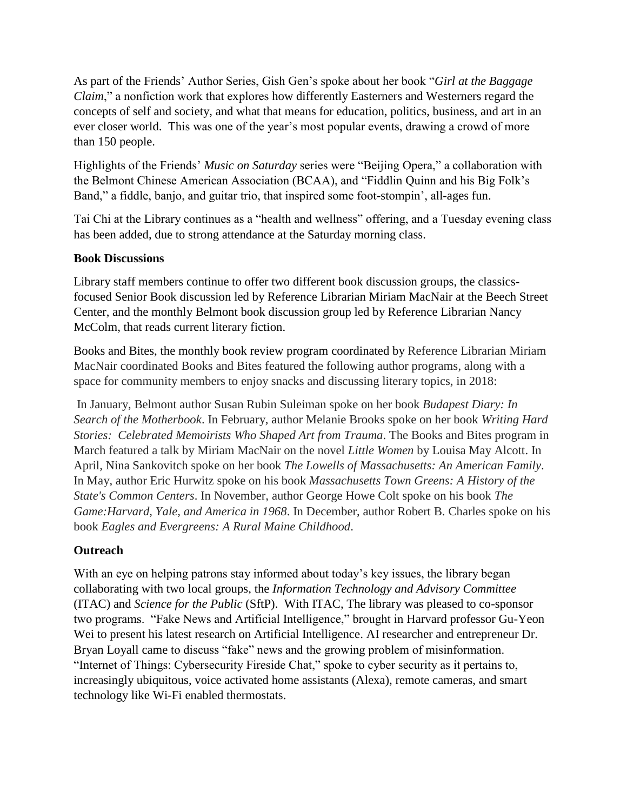As part of the Friends' Author Series, Gish Gen's spoke about her book "*Girl at the Baggage Claim*," a nonfiction work that explores how differently Easterners and Westerners regard the concepts of self and society, and what that means for education, politics, business, and art in an ever closer world. This was one of the year's most popular events, drawing a crowd of more than 150 people.

Highlights of the Friends' *Music on Saturday* series were "Beijing Opera," a collaboration with the Belmont Chinese American Association (BCAA), and "Fiddlin Quinn and his Big Folk's Band," a fiddle, banjo, and guitar trio, that inspired some foot-stompin', all-ages fun.

Tai Chi at the Library continues as a "health and wellness" offering, and a Tuesday evening class has been added, due to strong attendance at the Saturday morning class.

## **Book Discussions**

Library staff members continue to offer two different book discussion groups, the classicsfocused Senior Book discussion led by Reference Librarian Miriam MacNair at the Beech Street Center, and the monthly Belmont book discussion group led by Reference Librarian Nancy McColm, that reads current literary fiction.

Books and Bites, the monthly book review program coordinated by Reference Librarian Miriam MacNair coordinated Books and Bites featured the following author programs, along with a space for community members to enjoy snacks and discussing literary topics, in 2018:

In January, Belmont author Susan Rubin Suleiman spoke on her book *Budapest Diary: In Search of the Motherbook*. In February, author Melanie Brooks spoke on her book *Writing Hard Stories: Celebrated Memoirists Who Shaped Art from Trauma*. The Books and Bites program in March featured a talk by Miriam MacNair on the novel *Little Women* by Louisa May Alcott. In April, Nina Sankovitch spoke on her book *The Lowells of Massachusetts: An American Family*. In May, author Eric Hurwitz spoke on his book *Massachusetts Town Greens: A History of the State's Common Centers*. In November, author George Howe Colt spoke on his book *The Game:Harvard, Yale, and America in 1968*. In December, author Robert B. Charles spoke on his book *Eagles and Evergreens: A Rural Maine Childhood*.

## **Outreach**

With an eye on helping patrons stay informed about today's key issues, the library began collaborating with two local groups, the *Information Technology and Advisory Committee*  (ITAC) and *Science for the Public* (SftP). With ITAC, The library was pleased to co-sponsor two programs. "Fake News and Artificial Intelligence," brought in Harvard professor Gu-Yeon Wei to present his latest research on Artificial Intelligence. AI researcher and entrepreneur Dr. Bryan Loyall came to discuss "fake" news and the growing problem of misinformation. "Internet of Things: Cybersecurity Fireside Chat," spoke to cyber security as it pertains to, increasingly ubiquitous, voice activated home assistants (Alexa), remote cameras, and smart technology like Wi-Fi enabled thermostats.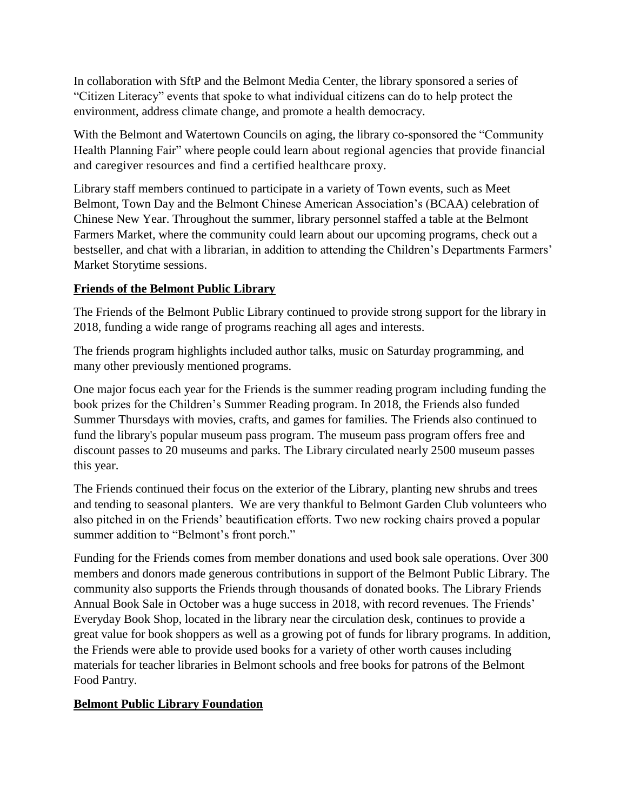In collaboration with SftP and the Belmont Media Center, the library sponsored a series of "Citizen Literacy" events that spoke to what individual citizens can do to help protect the environment, address climate change, and promote a health democracy.

With the Belmont and Watertown Councils on aging, the library co-sponsored the "Community Health Planning Fair" where people could learn about regional agencies that provide financial and caregiver resources and find a certified healthcare proxy.

Library staff members continued to participate in a variety of Town events, such as Meet Belmont, Town Day and the Belmont Chinese American Association's (BCAA) celebration of Chinese New Year. Throughout the summer, library personnel staffed a table at the Belmont Farmers Market, where the community could learn about our upcoming programs, check out a bestseller, and chat with a librarian, in addition to attending the Children's Departments Farmers' Market Storytime sessions.

## **Friends of the Belmont Public Library**

The Friends of the Belmont Public Library continued to provide strong support for the library in 2018, funding a wide range of programs reaching all ages and interests.

The friends program highlights included author talks, music on Saturday programming, and many other previously mentioned programs.

One major focus each year for the Friends is the summer reading program including funding the book prizes for the Children's Summer Reading program. In 2018, the Friends also funded Summer Thursdays with movies, crafts, and games for families. The Friends also continued to fund the library's popular museum pass program. The museum pass program offers free and discount passes to 20 museums and parks. The Library circulated nearly 2500 museum passes this year.

The Friends continued their focus on the exterior of the Library, planting new shrubs and trees and tending to seasonal planters. We are very thankful to Belmont Garden Club volunteers who also pitched in on the Friends' beautification efforts. Two new rocking chairs proved a popular summer addition to "Belmont's front porch."

Funding for the Friends comes from member donations and used book sale operations. Over 300 members and donors made generous contributions in support of the Belmont Public Library. The community also supports the Friends through thousands of donated books. The Library Friends Annual Book Sale in October was a huge success in 2018, with record revenues. The Friends' Everyday Book Shop, located in the library near the circulation desk, continues to provide a great value for book shoppers as well as a growing pot of funds for library programs. In addition, the Friends were able to provide used books for a variety of other worth causes including materials for teacher libraries in Belmont schools and free books for patrons of the Belmont Food Pantry.

## **Belmont Public Library Foundation**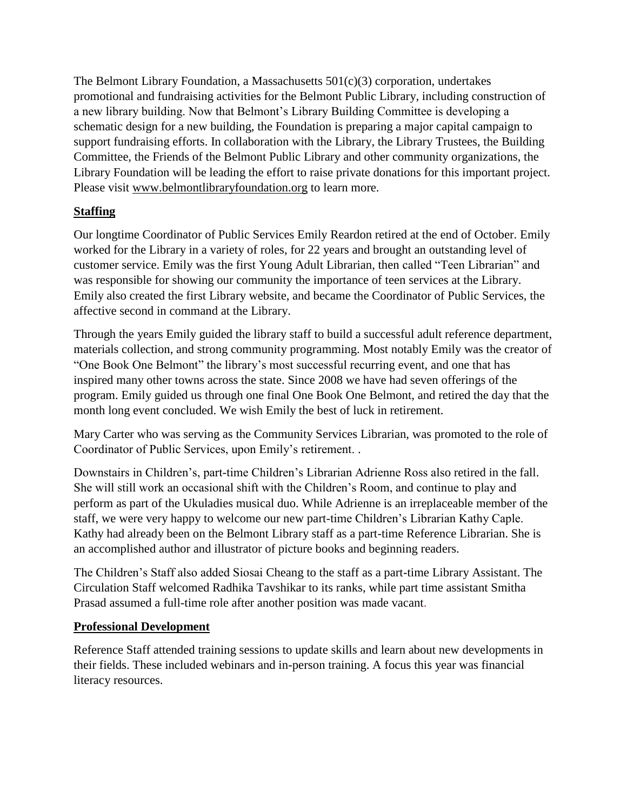The Belmont Library Foundation, a Massachusetts  $501(c)(3)$  corporation, undertakes promotional and fundraising activities for the Belmont Public Library, including construction of a new library building. Now that Belmont's Library Building Committee is developing a schematic design for a new building, the Foundation is preparing a major capital campaign to support fundraising efforts. In collaboration with the Library, the Library Trustees, the Building Committee, the Friends of the Belmont Public Library and other community organizations, the Library Foundation will be leading the effort to raise private donations for this important project. Please visit [www.belmontlibraryfoundation.org](http://www.belmontlibraryfoundation.org/) to learn more.

## **Staffing**

Our longtime Coordinator of Public Services Emily Reardon retired at the end of October. Emily worked for the Library in a variety of roles, for 22 years and brought an outstanding level of customer service. Emily was the first Young Adult Librarian, then called "Teen Librarian" and was responsible for showing our community the importance of teen services at the Library. Emily also created the first Library website, and became the Coordinator of Public Services, the affective second in command at the Library.

Through the years Emily guided the library staff to build a successful adult reference department, materials collection, and strong community programming. Most notably Emily was the creator of "One Book One Belmont" the library's most successful recurring event, and one that has inspired many other towns across the state. Since 2008 we have had seven offerings of the program. Emily guided us through one final One Book One Belmont, and retired the day that the month long event concluded. We wish Emily the best of luck in retirement.

Mary Carter who was serving as the Community Services Librarian, was promoted to the role of Coordinator of Public Services, upon Emily's retirement. .

Downstairs in Children's, part-time Children's Librarian Adrienne Ross also retired in the fall. She will still work an occasional shift with the Children's Room, and continue to play and perform as part of the Ukuladies musical duo. While Adrienne is an irreplaceable member of the staff, we were very happy to welcome our new part-time Children's Librarian Kathy Caple. Kathy had already been on the Belmont Library staff as a part-time Reference Librarian. She is an accomplished author and illustrator of picture books and beginning readers.

The Children's Staff also added Siosai Cheang to the staff as a part-time Library Assistant. The Circulation Staff welcomed Radhika Tavshikar to its ranks, while part time assistant Smitha Prasad assumed a full-time role after another position was made vacant.

## **Professional Development**

Reference Staff attended training sessions to update skills and learn about new developments in their fields. These included webinars and in-person training. A focus this year was financial literacy resources.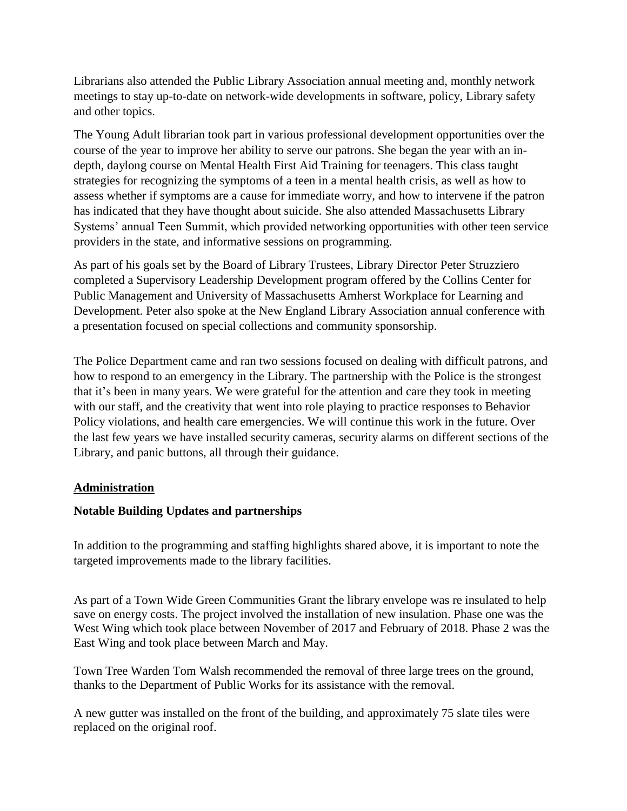Librarians also attended the Public Library Association annual meeting and, monthly network meetings to stay up-to-date on network-wide developments in software, policy, Library safety and other topics.

The Young Adult librarian took part in various professional development opportunities over the course of the year to improve her ability to serve our patrons. She began the year with an indepth, daylong course on Mental Health First Aid Training for teenagers. This class taught strategies for recognizing the symptoms of a teen in a mental health crisis, as well as how to assess whether if symptoms are a cause for immediate worry, and how to intervene if the patron has indicated that they have thought about suicide. She also attended Massachusetts Library Systems' annual Teen Summit, which provided networking opportunities with other teen service providers in the state, and informative sessions on programming.

As part of his goals set by the Board of Library Trustees, Library Director Peter Struzziero completed a Supervisory Leadership Development program offered by the Collins Center for Public Management and University of Massachusetts Amherst Workplace for Learning and Development. Peter also spoke at the New England Library Association annual conference with a presentation focused on special collections and community sponsorship.

The Police Department came and ran two sessions focused on dealing with difficult patrons, and how to respond to an emergency in the Library. The partnership with the Police is the strongest that it's been in many years. We were grateful for the attention and care they took in meeting with our staff, and the creativity that went into role playing to practice responses to Behavior Policy violations, and health care emergencies. We will continue this work in the future. Over the last few years we have installed security cameras, security alarms on different sections of the Library, and panic buttons, all through their guidance.

## **Administration**

## **Notable Building Updates and partnerships**

In addition to the programming and staffing highlights shared above, it is important to note the targeted improvements made to the library facilities.

As part of a Town Wide Green Communities Grant the library envelope was re insulated to help save on energy costs. The project involved the installation of new insulation. Phase one was the West Wing which took place between November of 2017 and February of 2018. Phase 2 was the East Wing and took place between March and May.

Town Tree Warden Tom Walsh recommended the removal of three large trees on the ground, thanks to the Department of Public Works for its assistance with the removal.

A new gutter was installed on the front of the building, and approximately 75 slate tiles were replaced on the original roof.